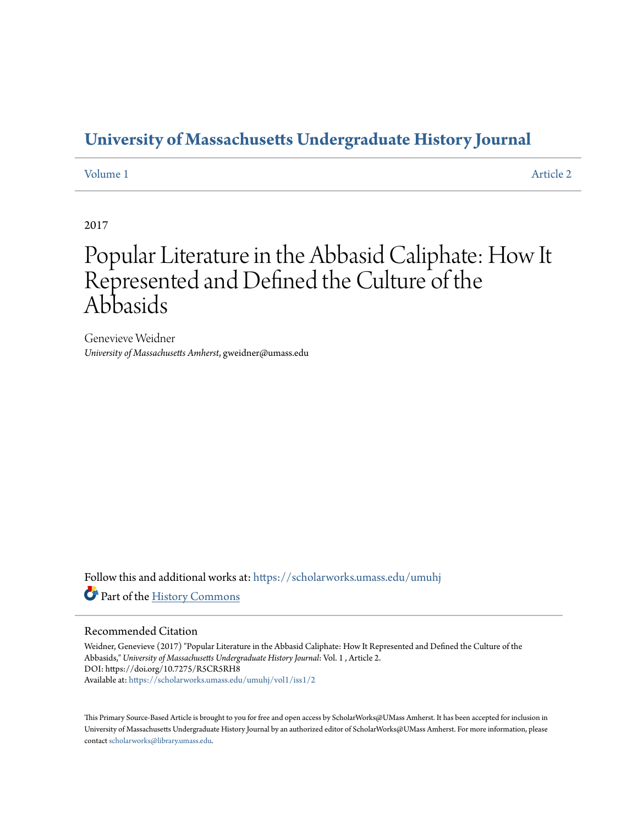## **[University of Massachusetts Undergraduate History Journal](https://scholarworks.umass.edu/umuhj?utm_source=scholarworks.umass.edu%2Fumuhj%2Fvol1%2Fiss1%2F2&utm_medium=PDF&utm_campaign=PDFCoverPages)**

[Volume 1](https://scholarworks.umass.edu/umuhj/vol1?utm_source=scholarworks.umass.edu%2Fumuhj%2Fvol1%2Fiss1%2F2&utm_medium=PDF&utm_campaign=PDFCoverPages) [Article 2](https://scholarworks.umass.edu/umuhj/vol1/iss1/2?utm_source=scholarworks.umass.edu%2Fumuhj%2Fvol1%2Fiss1%2F2&utm_medium=PDF&utm_campaign=PDFCoverPages)

2017

# Popular Literature in the Abbasid Caliphate: How It Represented and Defined the Culture of the Abbasids

Genevieve Weidner *University of Massachusetts Amherst*, gweidner@umass.edu

Follow this and additional works at: [https://scholarworks.umass.edu/umuhj](https://scholarworks.umass.edu/umuhj?utm_source=scholarworks.umass.edu%2Fumuhj%2Fvol1%2Fiss1%2F2&utm_medium=PDF&utm_campaign=PDFCoverPages) Part of the [History Commons](http://network.bepress.com/hgg/discipline/489?utm_source=scholarworks.umass.edu%2Fumuhj%2Fvol1%2Fiss1%2F2&utm_medium=PDF&utm_campaign=PDFCoverPages)

#### Recommended Citation

Weidner, Genevieve (2017) "Popular Literature in the Abbasid Caliphate: How It Represented and Defined the Culture of the Abbasids," *University of Massachusetts Undergraduate History Journal*: Vol. 1 , Article 2. DOI: https://doi.org/10.7275/R5CR5RH8 Available at: [https://scholarworks.umass.edu/umuhj/vol1/iss1/2](https://scholarworks.umass.edu/umuhj/vol1/iss1/2?utm_source=scholarworks.umass.edu%2Fumuhj%2Fvol1%2Fiss1%2F2&utm_medium=PDF&utm_campaign=PDFCoverPages)

This Primary Source-Based Article is brought to you for free and open access by ScholarWorks@UMass Amherst. It has been accepted for inclusion in University of Massachusetts Undergraduate History Journal by an authorized editor of ScholarWorks@UMass Amherst. For more information, please contact [scholarworks@library.umass.edu](mailto:scholarworks@library.umass.edu).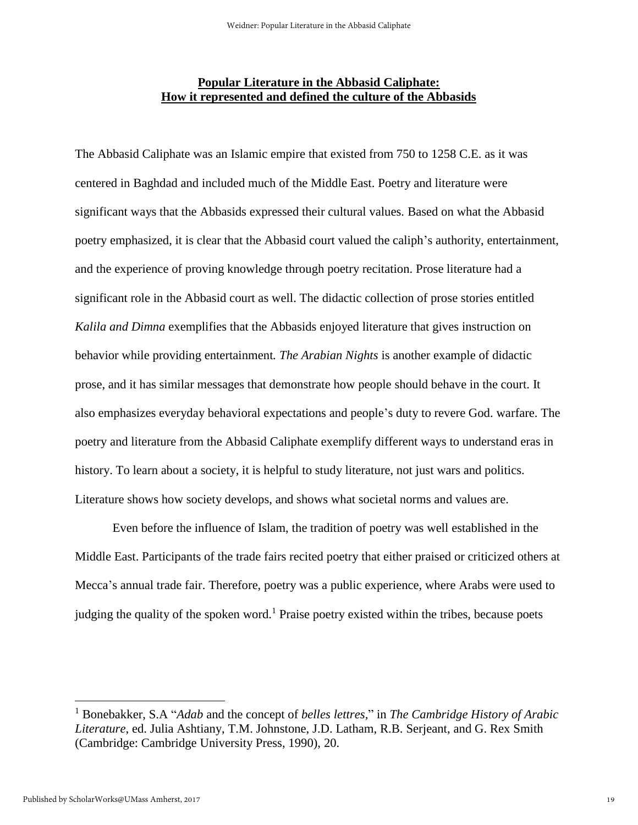### **Popular Literature in the Abbasid Caliphate: How it represented and defined the culture of the Abbasids**

The Abbasid Caliphate was an Islamic empire that existed from 750 to 1258 C.E. as it was centered in Baghdad and included much of the Middle East. Poetry and literature were significant ways that the Abbasids expressed their cultural values. Based on what the Abbasid poetry emphasized, it is clear that the Abbasid court valued the caliph's authority, entertainment, and the experience of proving knowledge through poetry recitation. Prose literature had a significant role in the Abbasid court as well. The didactic collection of prose stories entitled *Kalila and Dimna* exemplifies that the Abbasids enjoyed literature that gives instruction on behavior while providing entertainment*. The Arabian Nights* is another example of didactic prose, and it has similar messages that demonstrate how people should behave in the court. It also emphasizes everyday behavioral expectations and people's duty to revere God. warfare. The poetry and literature from the Abbasid Caliphate exemplify different ways to understand eras in history. To learn about a society, it is helpful to study literature, not just wars and politics. Literature shows how society develops, and shows what societal norms and values are.

Even before the influence of Islam, the tradition of poetry was well established in the Middle East. Participants of the trade fairs recited poetry that either praised or criticized others at Mecca's annual trade fair. Therefore, poetry was a public experience, where Arabs were used to judging the quality of the spoken word.<sup>1</sup> Praise poetry existed within the tribes, because poets

<sup>1</sup> Bonebakker, S.A "*Adab* and the concept of *belles lettres,*" in *The Cambridge History of Arabic Literature*, ed. Julia Ashtiany, T.M. Johnstone, J.D. Latham, R.B. Serjeant, and G. Rex Smith (Cambridge: Cambridge University Press, 1990), 20.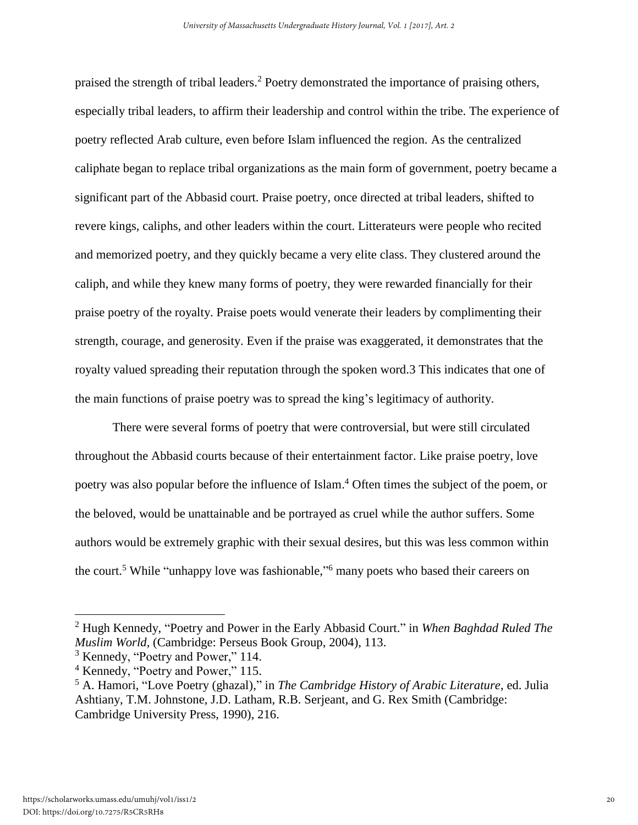praised the strength of tribal leaders.<sup>2</sup> Poetry demonstrated the importance of praising others, especially tribal leaders, to affirm their leadership and control within the tribe. The experience of poetry reflected Arab culture, even before Islam influenced the region. As the centralized caliphate began to replace tribal organizations as the main form of government, poetry became a significant part of the Abbasid court. Praise poetry, once directed at tribal leaders, shifted to revere kings, caliphs, and other leaders within the court. Litterateurs were people who recited and memorized poetry, and they quickly became a very elite class. They clustered around the caliph, and while they knew many forms of poetry, they were rewarded financially for their praise poetry of the royalty. Praise poets would venerate their leaders by complimenting their strength, courage, and generosity. Even if the praise was exaggerated, it demonstrates that the royalty valued spreading their reputation through the spoken word.3 This indicates that one of the main functions of praise poetry was to spread the king's legitimacy of authority.

There were several forms of poetry that were controversial, but were still circulated throughout the Abbasid courts because of their entertainment factor. Like praise poetry, love poetry was also popular before the influence of Islam.<sup>4</sup> Often times the subject of the poem, or the beloved, would be unattainable and be portrayed as cruel while the author suffers. Some authors would be extremely graphic with their sexual desires, but this was less common within the court.<sup>5</sup> While "unhappy love was fashionable," many poets who based their careers on

<sup>2</sup> Hugh Kennedy, "Poetry and Power in the Early Abbasid Court." in *When Baghdad Ruled The Muslim World,* (Cambridge: Perseus Book Group, 2004), 113.

<sup>&</sup>lt;sup>3</sup> Kennedy, "Poetry and Power," 114.

<sup>4</sup> Kennedy, "Poetry and Power," 115.

<sup>5</sup> A. Hamori, "Love Poetry (ghazal)," in *The Cambridge History of Arabic Literature*, ed. Julia Ashtiany, T.M. Johnstone, J.D. Latham, R.B. Serjeant, and G. Rex Smith (Cambridge: Cambridge University Press, 1990), 216.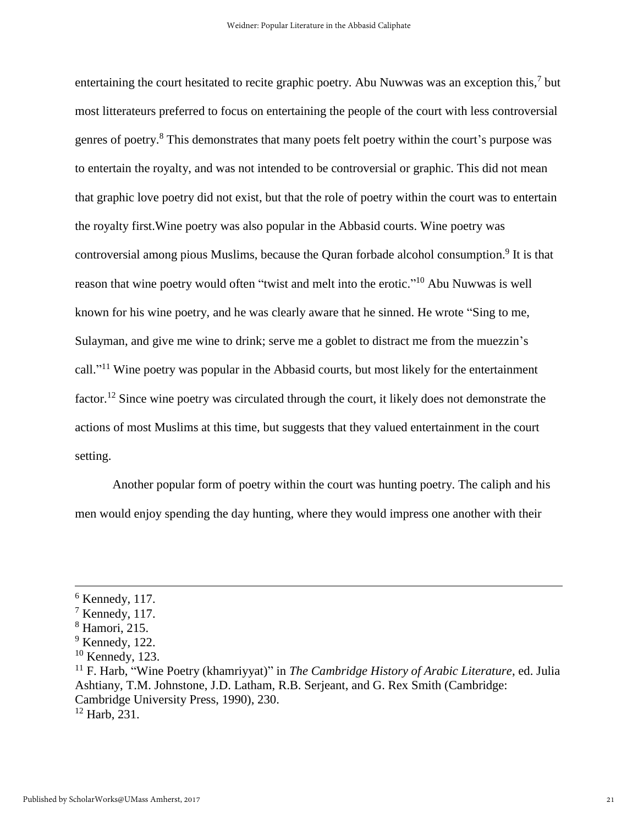entertaining the court hesitated to recite graphic poetry. Abu Nuwwas was an exception this,<sup>7</sup> but most litterateurs preferred to focus on entertaining the people of the court with less controversial genres of poetry.<sup>8</sup> This demonstrates that many poets felt poetry within the court's purpose was to entertain the royalty, and was not intended to be controversial or graphic. This did not mean that graphic love poetry did not exist, but that the role of poetry within the court was to entertain the royalty first.Wine poetry was also popular in the Abbasid courts. Wine poetry was controversial among pious Muslims, because the Quran forbade alcohol consumption.<sup>9</sup> It is that reason that wine poetry would often "twist and melt into the erotic."<sup>10</sup> Abu Nuwwas is well known for his wine poetry, and he was clearly aware that he sinned. He wrote "Sing to me, Sulayman, and give me wine to drink; serve me a goblet to distract me from the muezzin's call."<sup>11</sup> Wine poetry was popular in the Abbasid courts, but most likely for the entertainment factor.<sup>12</sup> Since wine poetry was circulated through the court, it likely does not demonstrate the actions of most Muslims at this time, but suggests that they valued entertainment in the court setting.

Another popular form of poetry within the court was hunting poetry. The caliph and his men would enjoy spending the day hunting, where they would impress one another with their

 $<sup>6</sup>$  Kennedy, 117.</sup>

 $<sup>7</sup>$  Kennedy, 117.</sup>

<sup>8</sup> Hamori, 215.

 $9$  Kennedy, 122.

 $10$  Kennedy, 123.

<sup>11</sup> F. Harb, "Wine Poetry (khamriyyat)" in *The Cambridge History of Arabic Literature*, ed. Julia Ashtiany, T.M. Johnstone, J.D. Latham, R.B. Serjeant, and G. Rex Smith (Cambridge: Cambridge University Press, 1990), 230.  $12$  Harb, 231.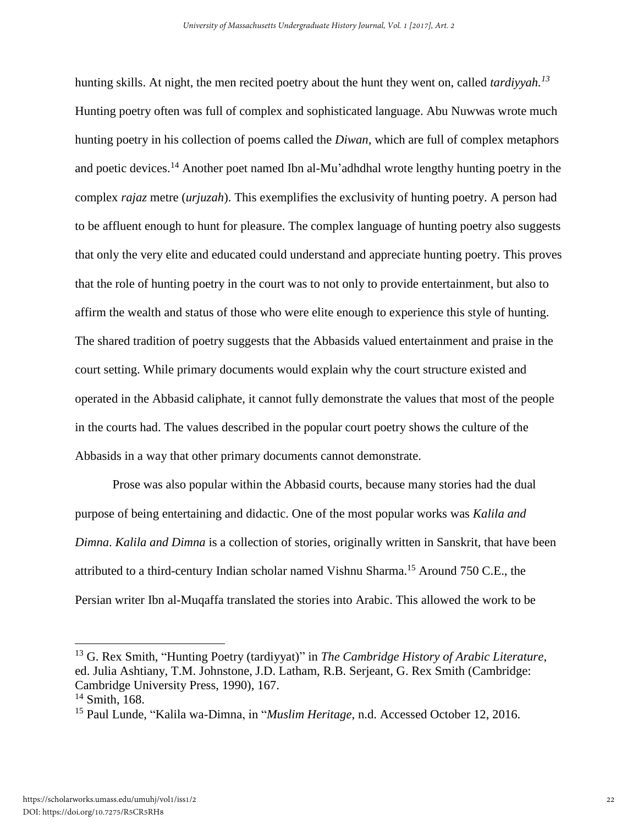hunting skills. At night, the men recited poetry about the hunt they went on, called *tardiyyah.<sup>13</sup>* Hunting poetry often was full of complex and sophisticated language. Abu Nuwwas wrote much hunting poetry in his collection of poems called the *Diwan,* which are full of complex metaphors and poetic devices.<sup>14</sup> Another poet named Ibn al-Mu'adhdhal wrote lengthy hunting poetry in the complex *rajaz* metre (*urjuzah*). This exemplifies the exclusivity of hunting poetry. A person had to be affluent enough to hunt for pleasure. The complex language of hunting poetry also suggests that only the very elite and educated could understand and appreciate hunting poetry. This proves that the role of hunting poetry in the court was to not only to provide entertainment, but also to affirm the wealth and status of those who were elite enough to experience this style of hunting. The shared tradition of poetry suggests that the Abbasids valued entertainment and praise in the court setting. While primary documents would explain why the court structure existed and operated in the Abbasid caliphate, it cannot fully demonstrate the values that most of the people in the courts had. The values described in the popular court poetry shows the culture of the Abbasids in a way that other primary documents cannot demonstrate.

Prose was also popular within the Abbasid courts, because many stories had the dual purpose of being entertaining and didactic. One of the most popular works was *Kalila and Dimna*. *Kalila and Dimna* is a collection of stories, originally written in Sanskrit, that have been attributed to a third-century Indian scholar named Vishnu Sharma.<sup>15</sup> Around 750 C.E., the Persian writer Ibn al-Muqaffa translated the stories into Arabic. This allowed the work to be

<sup>13</sup> G. Rex Smith, "Hunting Poetry (tardiyyat)" in *The Cambridge History of Arabic Literature*, ed. Julia Ashtiany, T.M. Johnstone, J.D. Latham, R.B. Serjeant, G. Rex Smith (Cambridge: Cambridge University Press, 1990), 167. <sup>14</sup> Smith, 168.

<sup>15</sup> Paul Lunde, "Kalila wa-Dimna, in "*Muslim Heritage*, n.d. Accessed October 12, 2016.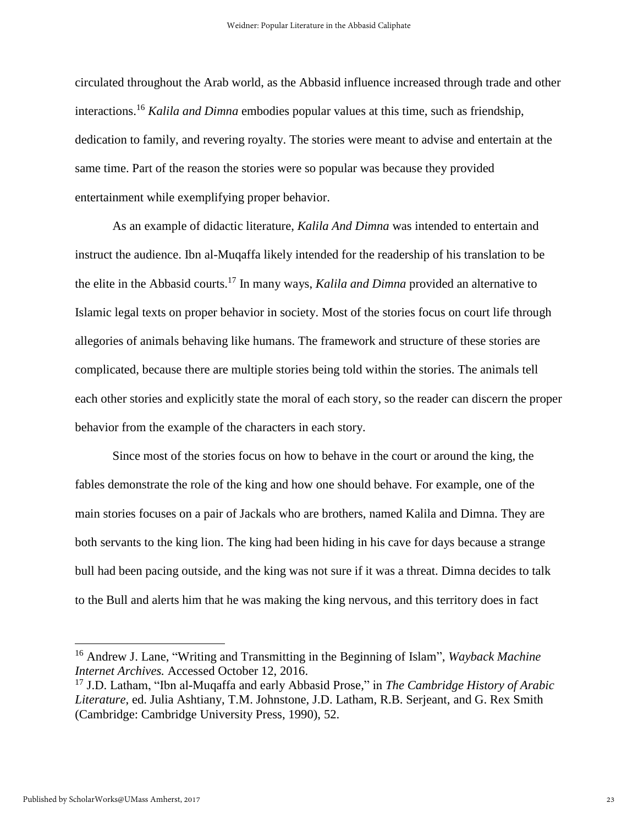circulated throughout the Arab world, as the Abbasid influence increased through trade and other interactions. <sup>16</sup> *Kalila and Dimna* embodies popular values at this time, such as friendship, dedication to family, and revering royalty. The stories were meant to advise and entertain at the same time. Part of the reason the stories were so popular was because they provided entertainment while exemplifying proper behavior.

As an example of didactic literature, *Kalila And Dimna* was intended to entertain and instruct the audience. Ibn al-Muqaffa likely intended for the readership of his translation to be the elite in the Abbasid courts.<sup>17</sup> In many ways, *Kalila and Dimna* provided an alternative to Islamic legal texts on proper behavior in society. Most of the stories focus on court life through allegories of animals behaving like humans. The framework and structure of these stories are complicated, because there are multiple stories being told within the stories. The animals tell each other stories and explicitly state the moral of each story, so the reader can discern the proper behavior from the example of the characters in each story.

Since most of the stories focus on how to behave in the court or around the king, the fables demonstrate the role of the king and how one should behave. For example, one of the main stories focuses on a pair of Jackals who are brothers, named Kalila and Dimna. They are both servants to the king lion. The king had been hiding in his cave for days because a strange bull had been pacing outside, and the king was not sure if it was a threat. Dimna decides to talk to the Bull and alerts him that he was making the king nervous, and this territory does in fact

<sup>16</sup> Andrew J. Lane, "Writing and Transmitting in the Beginning of Islam", *Wayback Machine Internet Archives.* Accessed October 12, 2016.

<sup>17</sup> J.D. Latham, "Ibn al-Muqaffa and early Abbasid Prose," in *The Cambridge History of Arabic Literature*, ed. Julia Ashtiany, T.M. Johnstone, J.D. Latham, R.B. Serjeant, and G. Rex Smith (Cambridge: Cambridge University Press, 1990), 52.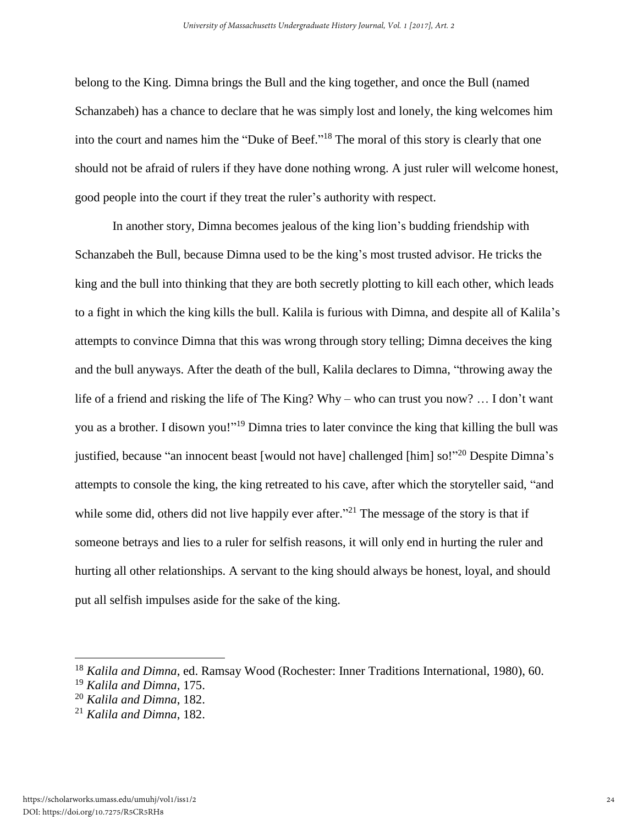belong to the King. Dimna brings the Bull and the king together, and once the Bull (named Schanzabeh) has a chance to declare that he was simply lost and lonely, the king welcomes him into the court and names him the "Duke of Beef."<sup>18</sup> The moral of this story is clearly that one should not be afraid of rulers if they have done nothing wrong. A just ruler will welcome honest, good people into the court if they treat the ruler's authority with respect.

In another story, Dimna becomes jealous of the king lion's budding friendship with Schanzabeh the Bull, because Dimna used to be the king's most trusted advisor. He tricks the king and the bull into thinking that they are both secretly plotting to kill each other, which leads to a fight in which the king kills the bull. Kalila is furious with Dimna, and despite all of Kalila's attempts to convince Dimna that this was wrong through story telling; Dimna deceives the king and the bull anyways. After the death of the bull, Kalila declares to Dimna, "throwing away the life of a friend and risking the life of The King? Why – who can trust you now? … I don't want you as a brother. I disown you!"<sup>19</sup> Dimna tries to later convince the king that killing the bull was justified, because "an innocent beast [would not have] challenged [him] so!"<sup>20</sup> Despite Dimna's attempts to console the king, the king retreated to his cave, after which the storyteller said, "and while some did, others did not live happily ever after."<sup>21</sup> The message of the story is that if someone betrays and lies to a ruler for selfish reasons, it will only end in hurting the ruler and hurting all other relationships. A servant to the king should always be honest, loyal, and should put all selfish impulses aside for the sake of the king.

<sup>18</sup> *Kalila and Dimna*, ed. Ramsay Wood (Rochester: Inner Traditions International, 1980), 60.

<sup>19</sup> *Kalila and Dimna*, 175.

<sup>20</sup> *Kalila and Dimna*, 182.

<sup>21</sup> *Kalila and Dimna*, 182.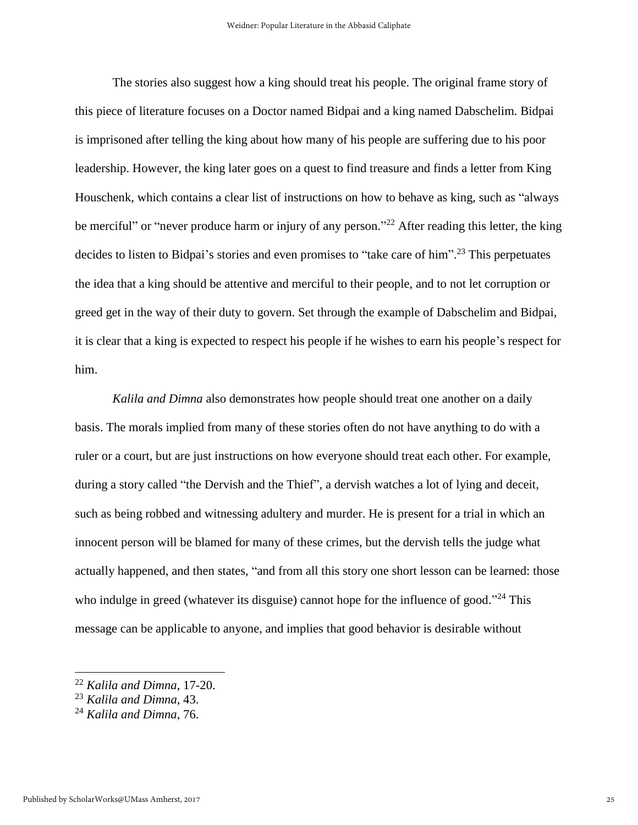The stories also suggest how a king should treat his people. The original frame story of this piece of literature focuses on a Doctor named Bidpai and a king named Dabschelim. Bidpai is imprisoned after telling the king about how many of his people are suffering due to his poor leadership. However, the king later goes on a quest to find treasure and finds a letter from King Houschenk, which contains a clear list of instructions on how to behave as king, such as "always be merciful" or "never produce harm or injury of any person."<sup>22</sup> After reading this letter, the king decides to listen to Bidpai's stories and even promises to "take care of him".<sup>23</sup> This perpetuates the idea that a king should be attentive and merciful to their people, and to not let corruption or greed get in the way of their duty to govern. Set through the example of Dabschelim and Bidpai, it is clear that a king is expected to respect his people if he wishes to earn his people's respect for him.

*Kalila and Dimna* also demonstrates how people should treat one another on a daily basis. The morals implied from many of these stories often do not have anything to do with a ruler or a court, but are just instructions on how everyone should treat each other. For example, during a story called "the Dervish and the Thief", a dervish watches a lot of lying and deceit, such as being robbed and witnessing adultery and murder. He is present for a trial in which an innocent person will be blamed for many of these crimes, but the dervish tells the judge what actually happened, and then states, "and from all this story one short lesson can be learned: those who indulge in greed (whatever its disguise) cannot hope for the influence of good."<sup>24</sup> This message can be applicable to anyone, and implies that good behavior is desirable without

<sup>22</sup> *Kalila and Dimna*, 17-20.

<sup>23</sup> *Kalila and Dimna*, 43.

<sup>24</sup> *Kalila and Dimna*, 76.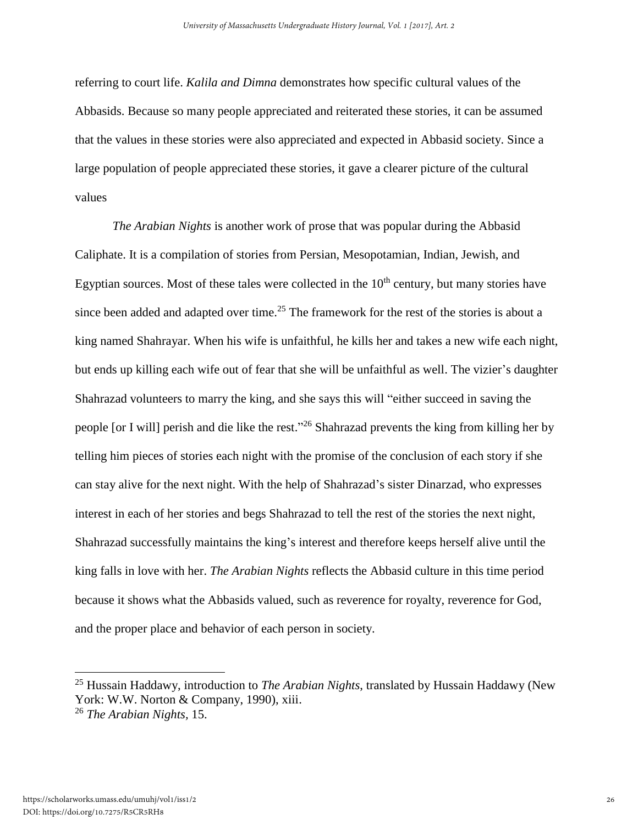referring to court life. *Kalila and Dimna* demonstrates how specific cultural values of the Abbasids. Because so many people appreciated and reiterated these stories, it can be assumed that the values in these stories were also appreciated and expected in Abbasid society. Since a large population of people appreciated these stories, it gave a clearer picture of the cultural values

*The Arabian Nights* is another work of prose that was popular during the Abbasid Caliphate. It is a compilation of stories from Persian, Mesopotamian, Indian, Jewish, and Egyptian sources. Most of these tales were collected in the  $10<sup>th</sup>$  century, but many stories have since been added and adapted over time.<sup>25</sup> The framework for the rest of the stories is about a king named Shahrayar. When his wife is unfaithful, he kills her and takes a new wife each night, but ends up killing each wife out of fear that she will be unfaithful as well. The vizier's daughter Shahrazad volunteers to marry the king, and she says this will "either succeed in saving the people [or I will] perish and die like the rest."<sup>26</sup> Shahrazad prevents the king from killing her by telling him pieces of stories each night with the promise of the conclusion of each story if she can stay alive for the next night. With the help of Shahrazad's sister Dinarzad, who expresses interest in each of her stories and begs Shahrazad to tell the rest of the stories the next night, Shahrazad successfully maintains the king's interest and therefore keeps herself alive until the king falls in love with her. *The Arabian Nights* reflects the Abbasid culture in this time period because it shows what the Abbasids valued, such as reverence for royalty, reverence for God, and the proper place and behavior of each person in society.

<sup>25</sup> Hussain Haddawy, introduction to *The Arabian Nights*, translated by Hussain Haddawy (New York: W.W. Norton & Company, 1990), xiii. <sup>26</sup> *The Arabian Nights,* 15.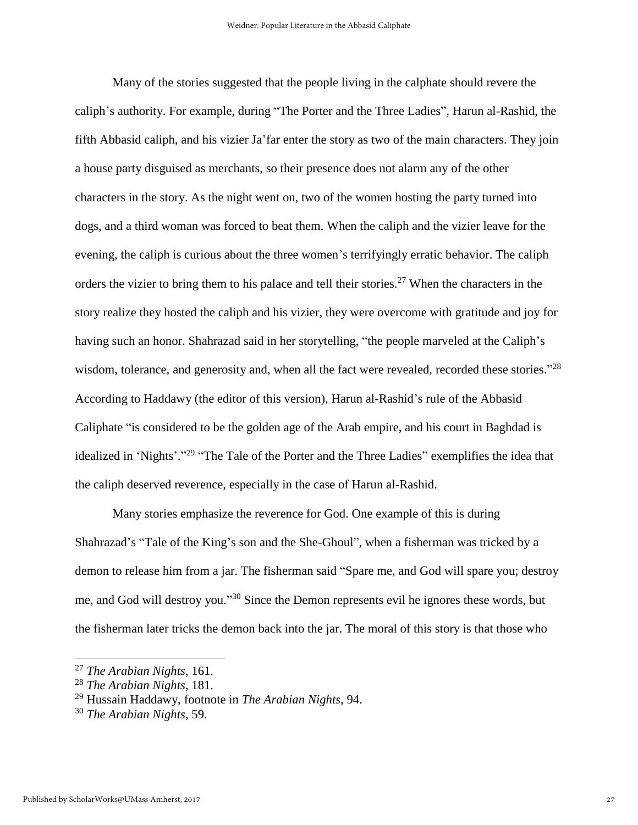Many of the stories suggested that the people living in the calphate should revere the caliph's authority. For example, during "The Porter and the Three Ladies", Harun al-Rashid, the fifth Abbasid caliph, and his vizier Ja'far enter the story as two of the main characters. They join a house party disguised as merchants, so their presence does not alarm any of the other characters in the story. As the night went on, two of the women hosting the party turned into dogs, and a third woman was forced to beat them. When the caliph and the vizier leave for the evening, the caliph is curious about the three women's terrifyingly erratic behavior. The caliph orders the vizier to bring them to his palace and tell their stories.<sup>27</sup> When the characters in the story realize they hosted the caliph and his vizier, they were overcome with gratitude and joy for having such an honor. Shahrazad said in her storytelling, "the people marveled at the Caliph's wisdom, tolerance, and generosity and, when all the fact were revealed, recorded these stories."<sup>28</sup> According to Haddawy (the editor of this version), Harun al-Rashid's rule of the Abbasid Caliphate "is considered to be the golden age of the Arab empire, and his court in Baghdad is idealized in 'Nights'."<sup>29</sup> "The Tale of the Porter and the Three Ladies" exemplifies the idea that the caliph deserved reverence, especially in the case of Harun al-Rashid.

Many stories emphasize the reverence for God. One example of this is during Shahrazad's "Tale of the King's son and the She-Ghoul", when a fisherman was tricked by a demon to release him from a jar. The fisherman said "Spare me, and God will spare you; destroy me, and God will destroy you."<sup>30</sup> Since the Demon represents evil he ignores these words, but the fisherman later tricks the demon back into the jar. The moral of this story is that those who

<sup>27</sup> *The Arabian Nights*, 161.

<sup>28</sup> *The Arabian Nights*, 181.

<sup>29</sup> Hussain Haddawy, footnote in *The Arabian Nights*, 94.

<sup>30</sup> *The Arabian Nights*, 59.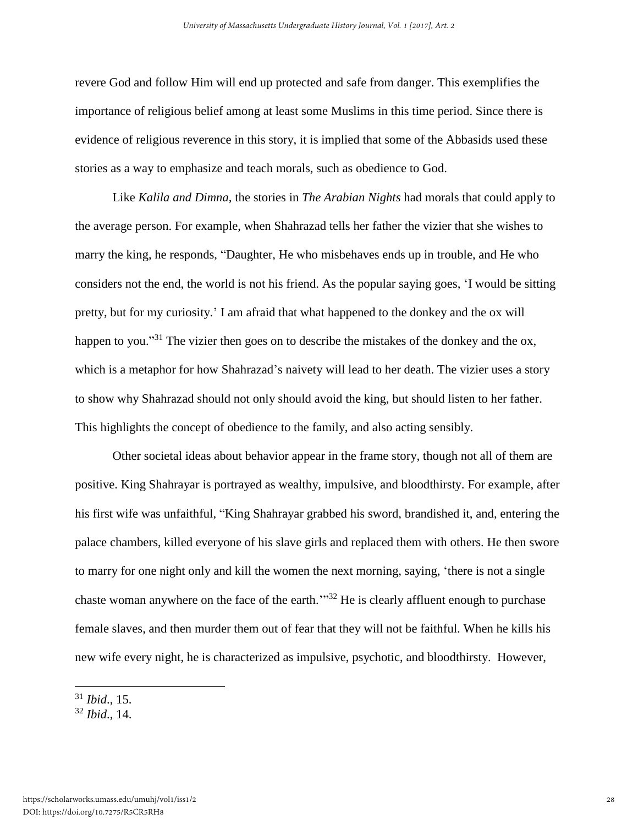revere God and follow Him will end up protected and safe from danger. This exemplifies the importance of religious belief among at least some Muslims in this time period. Since there is evidence of religious reverence in this story, it is implied that some of the Abbasids used these stories as a way to emphasize and teach morals, such as obedience to God.

Like *Kalila and Dimna,* the stories in *The Arabian Nights* had morals that could apply to the average person. For example, when Shahrazad tells her father the vizier that she wishes to marry the king, he responds, "Daughter, He who misbehaves ends up in trouble, and He who considers not the end, the world is not his friend. As the popular saying goes, 'I would be sitting pretty, but for my curiosity.' I am afraid that what happened to the donkey and the ox will happen to you."<sup>31</sup> The vizier then goes on to describe the mistakes of the donkey and the ox, which is a metaphor for how Shahrazad's naivety will lead to her death. The vizier uses a story to show why Shahrazad should not only should avoid the king, but should listen to her father. This highlights the concept of obedience to the family, and also acting sensibly.

Other societal ideas about behavior appear in the frame story, though not all of them are positive. King Shahrayar is portrayed as wealthy, impulsive, and bloodthirsty. For example, after his first wife was unfaithful, "King Shahrayar grabbed his sword, brandished it, and, entering the palace chambers, killed everyone of his slave girls and replaced them with others. He then swore to marry for one night only and kill the women the next morning, saying, 'there is not a single chaste woman anywhere on the face of the earth.<sup>'"32</sup> He is clearly affluent enough to purchase female slaves, and then murder them out of fear that they will not be faithful. When he kills his new wife every night, he is characterized as impulsive, psychotic, and bloodthirsty. However,

<sup>31</sup> *Ibid*., 15.

<sup>32</sup> *Ibid*., 14.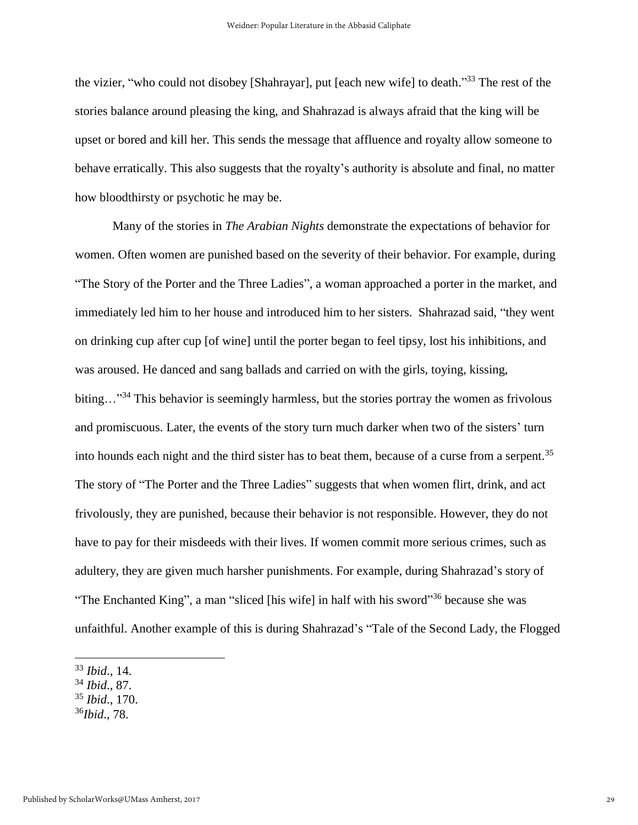the vizier, "who could not disobey [Shahrayar], put [each new wife] to death."<sup>33</sup> The rest of the stories balance around pleasing the king, and Shahrazad is always afraid that the king will be upset or bored and kill her. This sends the message that affluence and royalty allow someone to behave erratically. This also suggests that the royalty's authority is absolute and final, no matter how bloodthirsty or psychotic he may be.

Many of the stories in *The Arabian Nights* demonstrate the expectations of behavior for women. Often women are punished based on the severity of their behavior. For example, during "The Story of the Porter and the Three Ladies", a woman approached a porter in the market, and immediately led him to her house and introduced him to her sisters. Shahrazad said, "they went on drinking cup after cup [of wine] until the porter began to feel tipsy, lost his inhibitions, and was aroused. He danced and sang ballads and carried on with the girls, toying, kissing, biting...<sup>"34</sup> This behavior is seemingly harmless, but the stories portray the women as frivolous and promiscuous. Later, the events of the story turn much darker when two of the sisters' turn into hounds each night and the third sister has to beat them, because of a curse from a serpent.<sup>35</sup> The story of "The Porter and the Three Ladies" suggests that when women flirt, drink, and act frivolously, they are punished, because their behavior is not responsible. However, they do not have to pay for their misdeeds with their lives. If women commit more serious crimes, such as adultery, they are given much harsher punishments. For example, during Shahrazad's story of "The Enchanted King", a man "sliced [his wife] in half with his sword"<sup>36</sup> because she was unfaithful. Another example of this is during Shahrazad's "Tale of the Second Lady, the Flogged

- <sup>34</sup> *Ibid*., 87.
- <sup>35</sup> *Ibid*., 170.
- <sup>36</sup>*Ibid*., 78.

<sup>33</sup> *Ibid*., 14.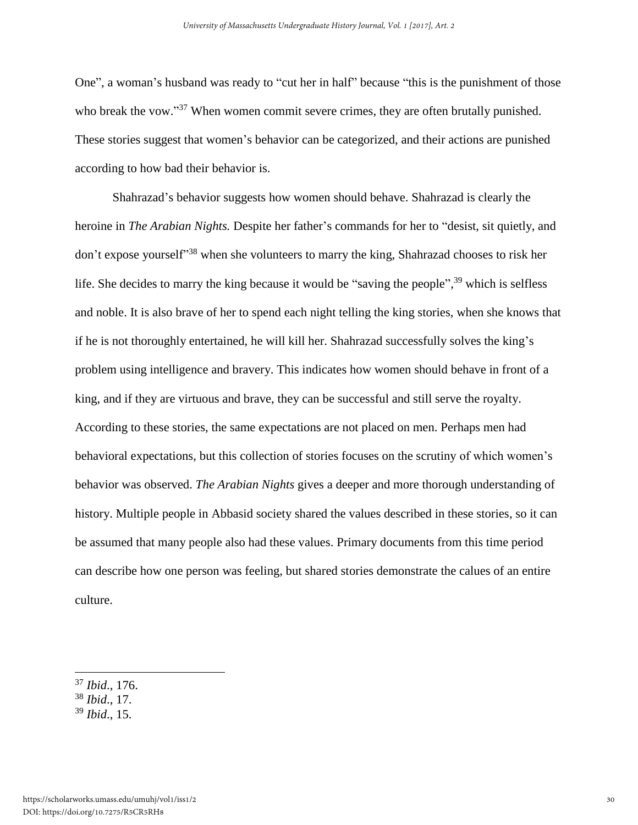One", a woman's husband was ready to "cut her in half" because "this is the punishment of those who break the vow."<sup>37</sup> When women commit severe crimes, they are often brutally punished. These stories suggest that women's behavior can be categorized, and their actions are punished according to how bad their behavior is.

Shahrazad's behavior suggests how women should behave. Shahrazad is clearly the heroine in *The Arabian Nights.* Despite her father's commands for her to "desist, sit quietly, and don't expose yourself<sup>338</sup> when she volunteers to marry the king, Shahrazad chooses to risk her life. She decides to marry the king because it would be "saving the people",<sup>39</sup> which is selfless and noble. It is also brave of her to spend each night telling the king stories, when she knows that if he is not thoroughly entertained, he will kill her. Shahrazad successfully solves the king's problem using intelligence and bravery. This indicates how women should behave in front of a king, and if they are virtuous and brave, they can be successful and still serve the royalty. According to these stories, the same expectations are not placed on men. Perhaps men had behavioral expectations, but this collection of stories focuses on the scrutiny of which women's behavior was observed. *The Arabian Nights* gives a deeper and more thorough understanding of history. Multiple people in Abbasid society shared the values described in these stories, so it can be assumed that many people also had these values. Primary documents from this time period can describe how one person was feeling, but shared stories demonstrate the calues of an entire culture.

<sup>37</sup> *Ibid*., 176.

<sup>38</sup> *Ibid*., 17.

<sup>39</sup> *Ibid*., 15.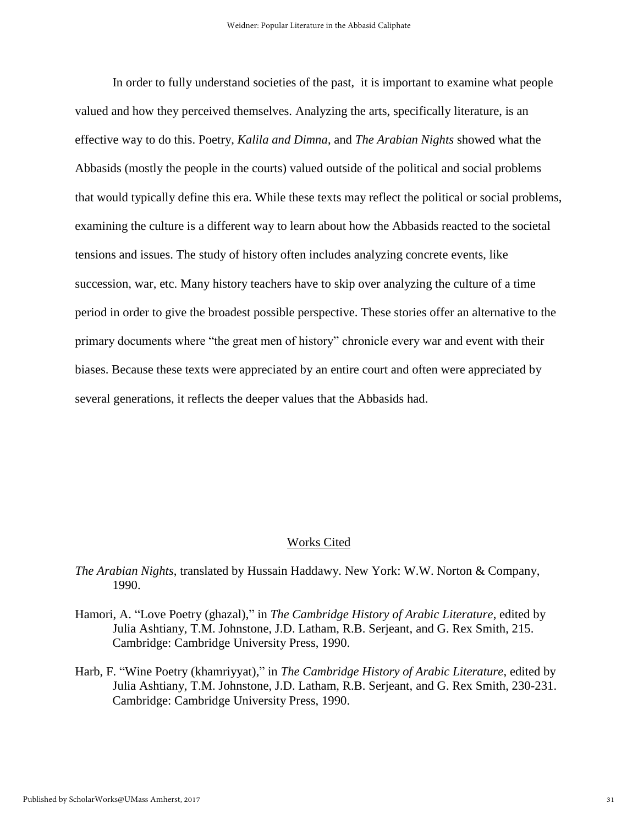In order to fully understand societies of the past, it is important to examine what people valued and how they perceived themselves. Analyzing the arts, specifically literature, is an effective way to do this. Poetry, *Kalila and Dimna*, and *The Arabian Nights* showed what the Abbasids (mostly the people in the courts) valued outside of the political and social problems that would typically define this era. While these texts may reflect the political or social problems, examining the culture is a different way to learn about how the Abbasids reacted to the societal tensions and issues. The study of history often includes analyzing concrete events, like succession, war, etc. Many history teachers have to skip over analyzing the culture of a time period in order to give the broadest possible perspective. These stories offer an alternative to the primary documents where "the great men of history" chronicle every war and event with their biases. Because these texts were appreciated by an entire court and often were appreciated by several generations, it reflects the deeper values that the Abbasids had.

#### Works Cited

*The Arabian Nights*, translated by Hussain Haddawy. New York: W.W. Norton & Company, 1990.

- Hamori, A. "Love Poetry (ghazal)," in *The Cambridge History of Arabic Literature*, edited by Julia Ashtiany, T.M. Johnstone, J.D. Latham, R.B. Serjeant, and G. Rex Smith, 215. Cambridge: Cambridge University Press, 1990.
- Harb, F. "Wine Poetry (khamriyyat)," in *The Cambridge History of Arabic Literature*, edited by Julia Ashtiany, T.M. Johnstone, J.D. Latham, R.B. Serjeant, and G. Rex Smith, 230-231. Cambridge: Cambridge University Press, 1990.